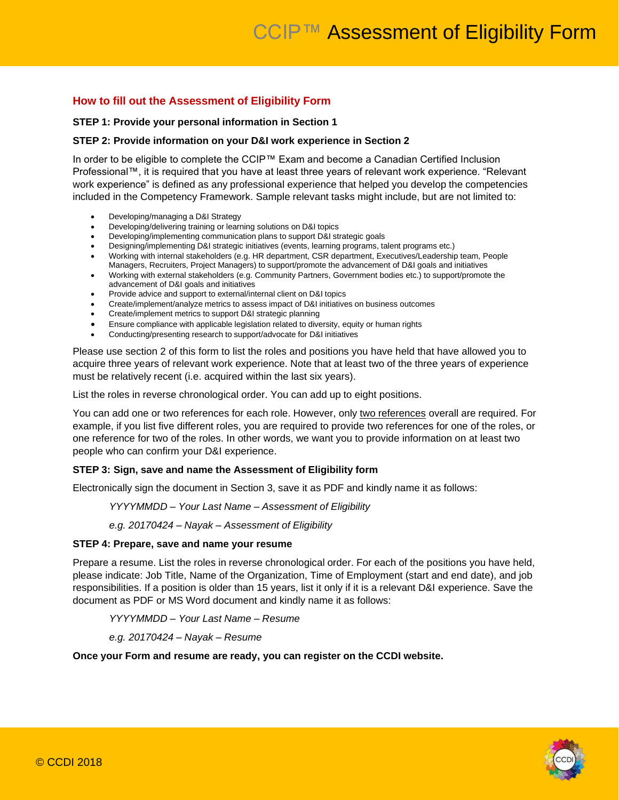### **How to fill out the Assessment of Eligibility Form**

#### **STEP 1: Provide your personal information in Section 1**

#### **STEP 2: Provide information on your D&I work experience in Section 2**

In order to be eligible to complete the CCIP™ Exam and become a Canadian Certified Inclusion Professional™, it is required that you have at least three years of relevant work experience. "Relevant work experience" is defined as any professional experience that helped you develop the competencies included in the Competency Framework. Sample relevant tasks might include, but are not limited to:

- Developing/managing a D&I Strategy
- Developing/delivering training or learning solutions on D&I topics
- Developing/implementing communication plans to support D&I strategic goals
- Designing/implementing D&I strategic initiatives (events, learning programs, talent programs etc.)
- Working with internal stakeholders (e.g. HR department, CSR department, Executives/Leadership team, People Managers, Recruiters, Project Managers) to support/promote the advancement of D&I goals and initiatives
- Working with external stakeholders (e.g. Community Partners, Government bodies etc.) to support/promote the advancement of D&I goals and initiatives
- Provide advice and support to external/internal client on D&I topics
- Create/implement/analyze metrics to assess impact of D&I initiatives on business outcomes
- Create/implement metrics to support D&I strategic planning
- Ensure compliance with applicable legislation related to diversity, equity or human rights
- Conducting/presenting research to support/advocate for D&I initiatives

Please use section 2 of this form to list the roles and positions you have held that have allowed you to acquire three years of relevant work experience. Note that at least two of the three years of experience must be relatively recent (i.e. acquired within the last six years).

List the roles in reverse chronological order. You can add up to eight positions.

You can add one or two references for each role. However, only two references overall are required. For example, if you list five different roles, you are required to provide two references for one of the roles, or one reference for two of the roles. In other words, we want you to provide information on at least two people who can confirm your D&I experience.

### **STEP 3: Sign, save and name the Assessment of Eligibility form**

Electronically sign the document in Section 3, save it as PDF and kindly name it as follows:

#### *YYYYMMDD – Your Last Name – Assessment of Eligibility*

*e.g. 20170424 – Nayak – Assessment of Eligibility*

#### **STEP 4: Prepare, save and name your resume**

Prepare a resume. List the roles in reverse chronological order. For each of the positions you have held, please indicate: Job Title, Name of the Organization, Time of Employment (start and end date), and job responsibilities. If a position is older than 15 years, list it only if it is a relevant D&I experience. Save the document as PDF or MS Word document and kindly name it as follows:

*YYYYMMDD – Your Last Name – Resume*

*e.g. 20170424 – Nayak – Resume*

### **Once your Form and resume are ready, you can register on the CCDI website.**

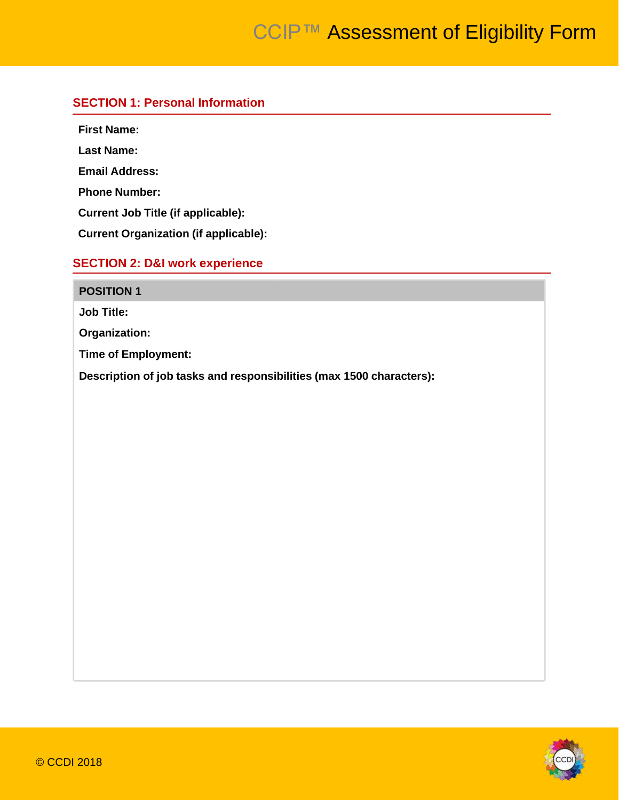### **SECTION 1: Personal Information**

**First Name:**

**Last Name:**

**Email Address:**

**Phone Number:**

**Current Job Title (if applicable):**

**Current Organization (if applicable):**

## **SECTION 2: D&I work experience**

# **POSITION 1**

**Job Title:**

**Organization:**

**Time of Employment:**

**Description of job tasks and responsibilities (max 1500 characters):**

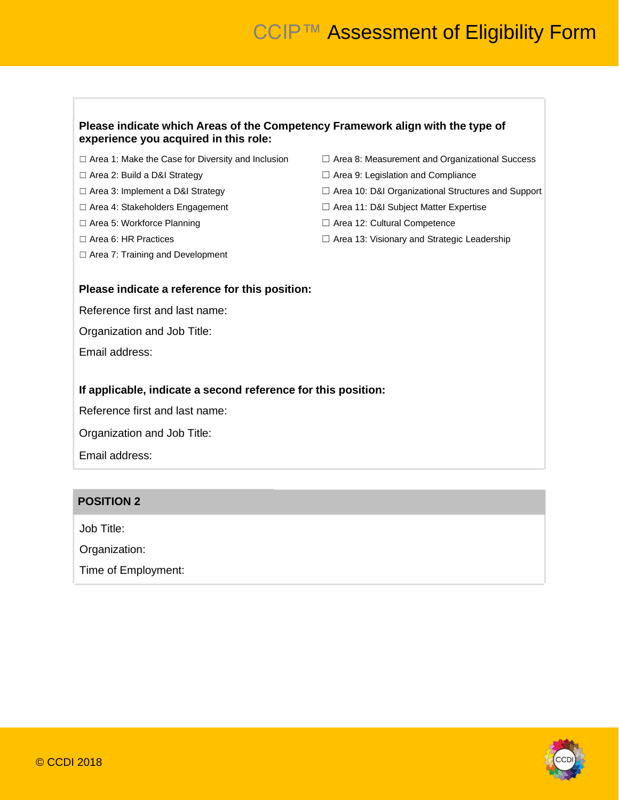### **Please indicate which Areas of the Competency Framework align with the type of experience you acquired in this role:**

- ☐ Area 1: Make the Case for Diversity and Inclusion ☐ Area 8: Measurement and Organizational Success
- 
- 
- 
- 
- 
- ☐ Area 7: Training and Development
- 
- ☐ Area 2: Build a D&I Strategy ☐ Area 9: Legislation and Compliance
- ☐ Area 3: Implement a D&I Strategy ☐ Area 10: D&I Organizational Structures and Support
- ☐ Area 4: Stakeholders Engagement ☐ Area 11: D&I Subject Matter Expertise
- ☐ Area 5: Workforce Planning ☐ Area 12: Cultural Competence
- ☐ Area 6: HR Practices ☐ Area 13: Visionary and Strategic Leadership

### **Please indicate a reference for this position:**

Reference first and last name:

Organization and Job Title:

Email address:

### **If applicable, indicate a second reference for this position:**

Reference first and last name:

Organization and Job Title:

Email address:

### **POSITION 2**

Job Title:

Organization:

Time of Employment:

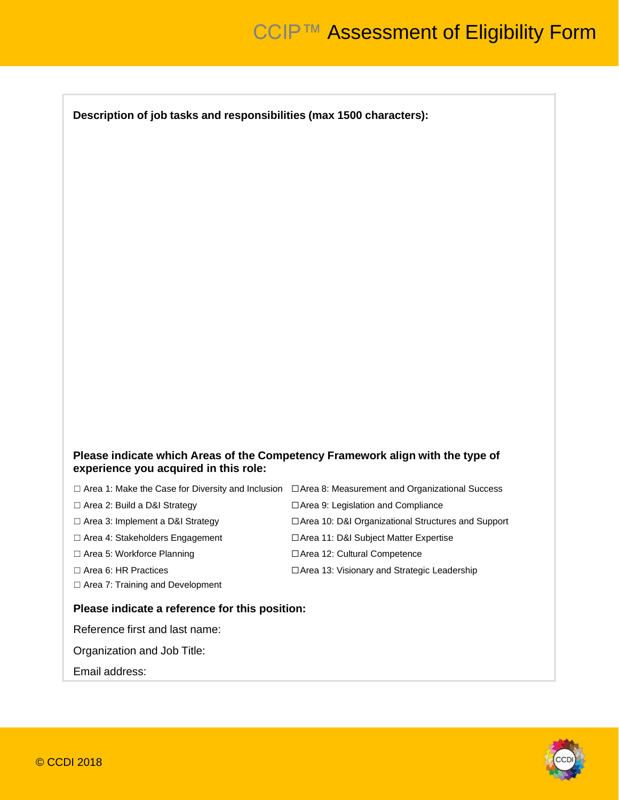**Description of job tasks and responsibilities (max 1500 characters):**

### **Please indicate which Areas of the Competency Framework align with the type of experience you acquired in this role:**

|                                         | $\Box$ Area 1: Make the Case for Diversity and Inclusion $\Box$ Area 8: Measurement and Organizational Success |
|-----------------------------------------|----------------------------------------------------------------------------------------------------------------|
| $\Box$ Area 2: Build a D&I Strategy     | $\Box$ Area 9: Legislation and Compliance                                                                      |
| $\Box$ Area 3: Implement a D&I Strategy | □ Area 10: D&I Organizational Structures and Support                                                           |
| $\Box$ Area 4: Stakeholders Engagement  | □ Area 11: D&I Subject Matter Expertise                                                                        |
| $\Box$ Area 5: Workforce Planning       | $\Box$ Area 12: Cultural Competence                                                                            |
| $\Box$ Area 6: HR Practices             | □ Area 13: Visionary and Strategic Leadership                                                                  |
| $\Box$ Area 7: Training and Development |                                                                                                                |
|                                         |                                                                                                                |

### **Please indicate a reference for this position:**

Reference first and last name:

Organization and Job Title:

Email address: